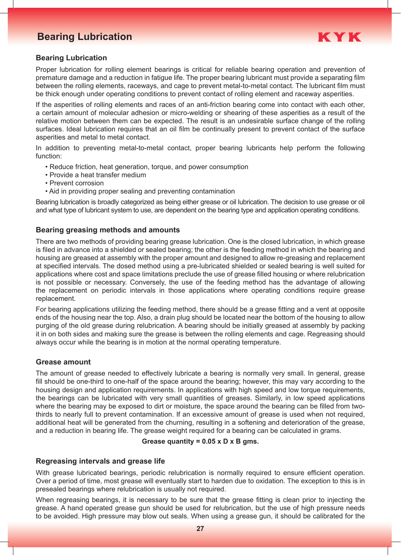# **Bearing Lubrication Bearing Lubrication**



# **Bearing Lubrication**

Proper lubrication for rolling element bearings is critical for reliable bearing operation and prevention of premature damage and a reduction in fatigue life. The proper bearing lubricant must provide a separating film between the rolling elements, raceways, and cage to prevent metal-to-metal contact. The lubricant film must be thick enough under operating conditions to prevent contact of rolling element and raceway asperities.

If the asperities of rolling elements and races of an anti-friction bearing come into contact with each other, a certain amount of molecular adhesion or micro-welding or shearing of these asperities as a result of the relative motion between them can be expected. The result is an undesirable surface change of the rolling surfaces. Ideal lubrication requires that an oil film be continually present to prevent contact of the surface asperities and metal to metal contact.

In addition to preventing metal-to-metal contact, proper bearing lubricants help perform the following function:

- Reduce friction, heat generation, torque, and power consumption
- Provide a heat transfer medium
- Prevent corrosion
- Aid in providing proper sealing and preventing contamination

Bearing lubrication is broadly categorized as being either grease or oil lubrication. The decision to use grease or oil and what type of lubricant system to use, are dependent on the bearing type and application operating conditions.

# **Bearing greasing methods and amounts**

There are two methods of providing bearing grease lubrication. One is the closed lubrication, in which grease is filed in advance into a shielded or sealed bearing; the other is the feeding method in which the bearing and housing are greased at assembly with the proper amount and designed to allow re-greasing and replacement at specified intervals. The dosed method using a pre-lubricated shielded or sealed bearing is well suited for applications where cost and space limitations preclude the use of grease filled housing or where relubrication is not possible or necessary. Conversely, the use of the feeding method has the advantage of allowing the replacement on periodic intervals in those applications where operating conditions require grease replacement.

For bearing applications utilizing the feeding method, there should be a grease fitting and a vent at opposite ends of the housing near the top. Also, a drain plug should be located near the bottom of the housing to allow purging of the old grease during relubrication. A bearing should be initially greased at assembly by packing it in on both sides and making sure the grease is between the rolling elements and cage. Regreasing should always occur while the bearing is in motion at the normal operating temperature.

### **Grease amount**

The amount of grease needed to effectively lubricate a bearing is normally very small. In general, grease fill should be one-third to one-half of the space around the bearing; however, this may vary according to the housing design and application requirements. In applications with high speed and low torque requirements, the bearings can be lubricated with very small quantities of greases. Similarly, in low speed applications where the bearing may be exposed to dirt or moisture, the space around the bearing can be filled from twothirds to nearly full to prevent contamination. If an excessive amount of grease is used when not required, additional heat will be generated from the churning, resulting in a softening and deterioration of the grease, and a reduction in bearing life. The grease weight required for a bearing can be calculated in grams.

### **Grease quantity = 0.05 x D x B gms.**

# **Regreasing intervals and grease life**

With grease lubricated bearings, periodic relubrication is normally required to ensure efficient operation. Over a period of time, most grease will eventually start to harden due to oxidation. The exception to this is in presealed bearings where relubrication is usually not required.

When regreasing bearings, it is necessary to be sure that the grease fitting is clean prior to injecting the grease. A hand operated grease gun should be used for relubrication, but the use of high pressure needs to be avoided. High pressure may blow out seals. When using a grease gun, it should be calibrated for the